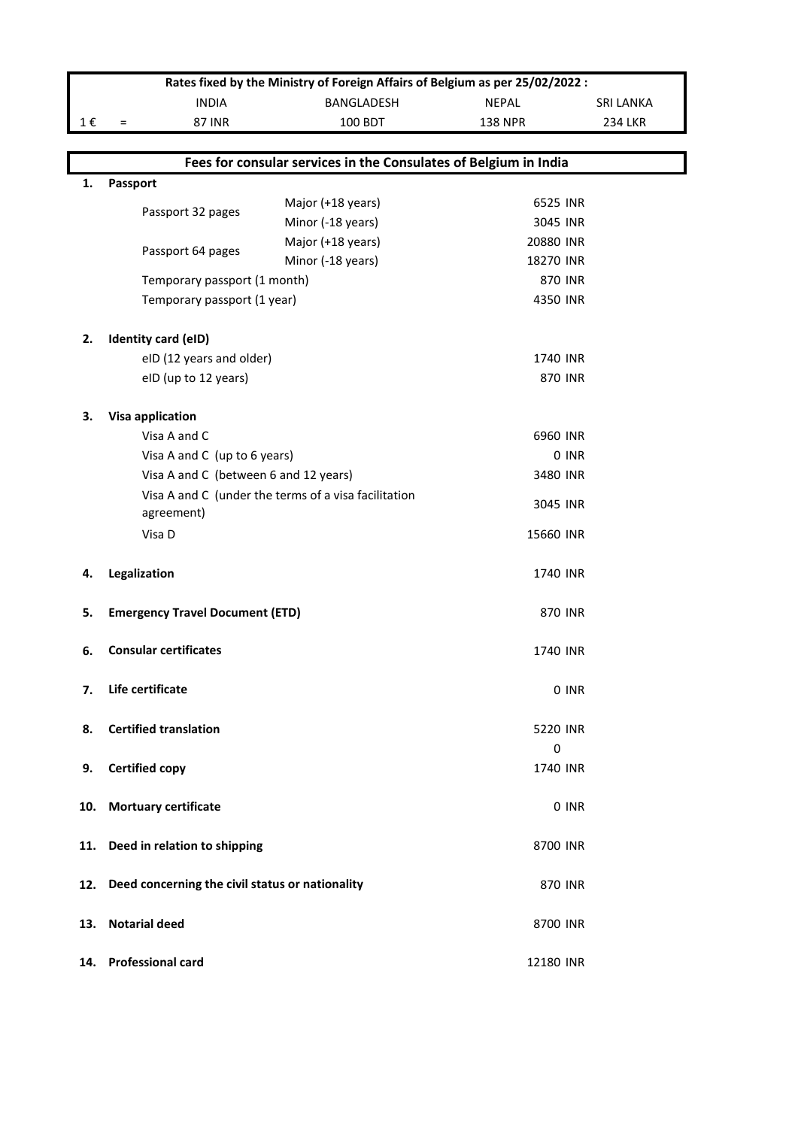|         | Rates fixed by the Ministry of Foreign Affairs of Belgium as per 25/02/2022 : |                                                      |                |                  |  |  |  |  |  |
|---------|-------------------------------------------------------------------------------|------------------------------------------------------|----------------|------------------|--|--|--|--|--|
|         | <b>INDIA</b>                                                                  | BANGLADESH                                           | <b>NEPAL</b>   | <b>SRI LANKA</b> |  |  |  |  |  |
| $1 \in$ | <b>87 INR</b><br>$\equiv$                                                     | 100 BDT                                              | <b>138 NPR</b> | <b>234 LKR</b>   |  |  |  |  |  |
|         |                                                                               |                                                      |                |                  |  |  |  |  |  |
|         | Fees for consular services in the Consulates of Belgium in India              |                                                      |                |                  |  |  |  |  |  |
| 1.      | <b>Passport</b>                                                               |                                                      |                |                  |  |  |  |  |  |
|         | Passport 32 pages                                                             | Major (+18 years)                                    | 6525 INR       |                  |  |  |  |  |  |
|         |                                                                               | Minor (-18 years)                                    | 3045 INR       |                  |  |  |  |  |  |
|         | Passport 64 pages                                                             | Major (+18 years)                                    | 20880 INR      |                  |  |  |  |  |  |
|         |                                                                               | Minor (-18 years)                                    | 18270 INR      |                  |  |  |  |  |  |
|         | Temporary passport (1 month)                                                  |                                                      |                | 870 INR          |  |  |  |  |  |
|         | Temporary passport (1 year)                                                   |                                                      | 4350 INR       |                  |  |  |  |  |  |
|         |                                                                               |                                                      |                |                  |  |  |  |  |  |
| 2.      | Identity card (eID)                                                           |                                                      |                |                  |  |  |  |  |  |
|         | eID (12 years and older)                                                      |                                                      | 1740 INR       |                  |  |  |  |  |  |
|         | eID (up to 12 years)                                                          |                                                      |                | <b>870 INR</b>   |  |  |  |  |  |
|         |                                                                               |                                                      |                |                  |  |  |  |  |  |
| 3.      | <b>Visa application</b>                                                       |                                                      |                |                  |  |  |  |  |  |
|         | Visa A and C                                                                  |                                                      | 6960 INR       |                  |  |  |  |  |  |
|         | Visa A and C (up to 6 years)                                                  |                                                      |                | 0 INR            |  |  |  |  |  |
|         | Visa A and C (between 6 and 12 years)                                         |                                                      | 3480 INR       |                  |  |  |  |  |  |
|         |                                                                               | Visa A and C (under the terms of a visa facilitation | 3045 INR       |                  |  |  |  |  |  |
|         | agreement)                                                                    |                                                      |                |                  |  |  |  |  |  |
|         | Visa D                                                                        |                                                      | 15660 INR      |                  |  |  |  |  |  |
| 4.      | Legalization                                                                  |                                                      | 1740 INR       |                  |  |  |  |  |  |
|         |                                                                               |                                                      |                |                  |  |  |  |  |  |
| 5.      | <b>Emergency Travel Document (ETD)</b>                                        |                                                      |                | 870 INR          |  |  |  |  |  |
|         |                                                                               |                                                      |                |                  |  |  |  |  |  |
| 6.      | <b>Consular certificates</b>                                                  |                                                      | 1740 INR       |                  |  |  |  |  |  |
|         |                                                                               |                                                      |                |                  |  |  |  |  |  |
| 7.      | Life certificate                                                              |                                                      |                | 0 INR            |  |  |  |  |  |
|         |                                                                               |                                                      |                |                  |  |  |  |  |  |
| 8.      | <b>Certified translation</b>                                                  |                                                      | 5220 INR       |                  |  |  |  |  |  |
|         |                                                                               |                                                      | $\mathbf 0$    |                  |  |  |  |  |  |
| 9.      | <b>Certified copy</b>                                                         |                                                      | 1740 INR       |                  |  |  |  |  |  |
|         |                                                                               |                                                      |                |                  |  |  |  |  |  |
| 10.     | <b>Mortuary certificate</b>                                                   |                                                      |                | 0 INR            |  |  |  |  |  |
|         |                                                                               |                                                      |                |                  |  |  |  |  |  |
| 11.     | Deed in relation to shipping                                                  |                                                      | 8700 INR       |                  |  |  |  |  |  |
|         |                                                                               |                                                      |                |                  |  |  |  |  |  |
| 12.     | Deed concerning the civil status or nationality                               |                                                      |                | 870 INR          |  |  |  |  |  |
|         |                                                                               |                                                      |                |                  |  |  |  |  |  |
| 13.     | <b>Notarial deed</b>                                                          |                                                      | 8700 INR       |                  |  |  |  |  |  |
|         |                                                                               |                                                      |                |                  |  |  |  |  |  |
|         | 14. Professional card                                                         |                                                      | 12180 INR      |                  |  |  |  |  |  |